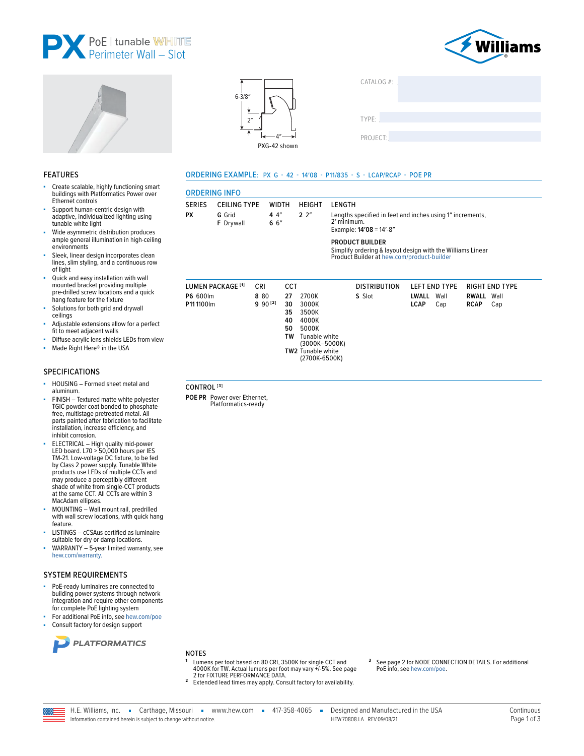



**RIGHT END TYPE** 

RWALL Wall

RCAP Cap





**WIDTH** 

CCT

 $27$ 2700K

30

35

40

50

TW

TW<sub>2</sub>

3000K

3500K

4000K

5000K

Tunable white<br>(3000K-5000K)

Tunable white (2700K-6500K)

 $44''$ 

6 6"

CRI

8.80

 $990^{[2]}$ 

**ORDERING INFO** 

LUMEN PACKAGE<sup>[1]</sup>

**P6 600lm** 

P11 1100lm

CONTROL<sup>[3]</sup>

POE PR Power over Ethernet,

Platformatics-ready

**SERIES** 

**PX** 

**CEILING TYPE** 

G Grid

F Drvwall

ORDERING EXAMPLE: PX G - 42 - 14'08 - P11/835 - S - LCAP/RCAP - POE PR

**HFIGHT** 

 $2.2<sup>n</sup>$ 

**I FNGTH** 

2' minimum.

Example: 14'08 = 14'-8"

S Slot

**DISTRIBUTION** 

**PRODUCT BUILDER** 

| CATALOG $#$ : |  |  |
|---------------|--|--|
| TYPE:         |  |  |
| PROJECT:      |  |  |

Lengths specified in feet and inches using 1" increments,

Simplify ordering & layout design with the Williams Linear<br>Product Builder at hew.com/product-builder

LEFT END TYPE

IWALL Wall

LCAP Cap

### **FEATURES**

- Create scalable, highly functioning smart buildings with Platformatics Power over Ethernet controls
- Support human-centric design with adaptive, individualized lighting using tunable white light
- Wide asymmetric distribution produces ample general illumination in high-ceiling environments
- Sleek, linear design incorporates clean lines, slim styling, and a continuous row of light
- Quick and easy installation with wall mounted bracket providing multiple pre-drilled screw locations and a quick hang feature for the fixture
- Solutions for both grid and drywall ceilings Adjustable extensions allow for a perfect
- fit to meet adjacent walls
- Diffuse acrylic lens shields LEDs from view
- Made Right Here® in the USA ×

### SPECIFICATIONS

- HOUSING Formed sheet metal and aluminum.
- FINISH Textured matte white polyester TGIC powder coat bonded to phosphatefree, multistage pretreated metal. All parts painted after fabrication to facilitate installation, increase efficiency, and inhibit corrosion.
- ELECTRICAL High quality mid-power<br>LED board. L70 > 50,000 hours per IES TM-21. Low-voltage DC fixture, to be fed by Class 2 power supply. Tunable White<br>products use LEDs of multiple CCTs and may produce a perceptibly different<br>shade of white from single-CCT products at the same CCT. All CCTs are within 3 MacAdam ellipses.
- MOUNTING Wall mount rail, predrilled with wall screw locations, with quick hang feature.
- LISTINGS cCSAus certified as luminaire suitable for dry or damp locations.
- WARRANTY 5-year limited warranty, see hew.com/warranty.

### **SYSTEM REQUIREMENTS**

- PoE-ready luminaires are connected to building power systems through network integration and require other components for complete PoE lighting system
- For additional PoE info, see hew.com/poe





### **NOTES**

- Lumens per foot based on 80 CRI, 3500K for single CCT and<br>4000K for TW. Actual lumens per foot may vary +/-5%. See page 2 for FIXTURE PERFORMANCE DATA.
- 2 Extended lead times may apply. Consult factory for availability.
- See page 2 for NODE CONNECTION DETAILS. For additional PoE info, see hew.com/poe.
- 
- 
- H.E. Williams, Inc. Carthage, Missouri vww.hew.com 417-358-4065 -Designed and Manufactured in the USA HEW 70808 LA REV 09/08/21 Information contained herein is subject to change without notice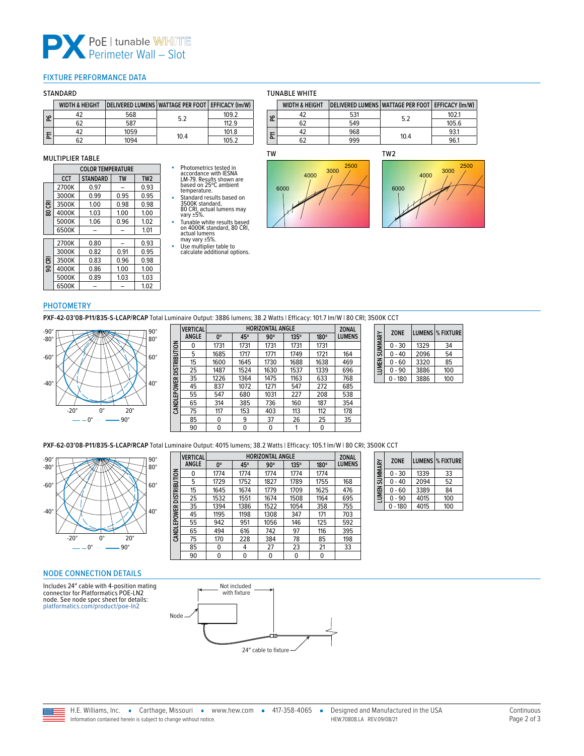

### <span id="page-1-0"></span>FIXTURE PERFORMANCE DATA

### **STANDARD**

|    | <b>WIDTH &amp; HEIGHT</b> | DELIVERED LUMENS WATTAGE PER FOOT EFFICACY (Im/W) |      |       |
|----|---------------------------|---------------------------------------------------|------|-------|
| န္ |                           | 568                                               | 5.2  | 109.2 |
|    | 62                        | 587                                               |      | 1129  |
| 둔  |                           | 1059                                              | 10.4 | 101.8 |
|    |                           | 1094                                              |      | 105.2 |

#### MULTIPLIER TABLE

|        | <b>COLOR TEMPERATURE</b> |                 |           |                 |  |  |  |
|--------|--------------------------|-----------------|-----------|-----------------|--|--|--|
|        | <b>CCT</b>               | <b>STANDARD</b> | <b>TW</b> | TW <sub>2</sub> |  |  |  |
|        | 2700K                    | 0.97            |           | 0.93            |  |  |  |
|        | 3000K                    | 0.99            | 0.95      | 0.95            |  |  |  |
| 80 CRI | 3500K                    | 1.00            | 0.98      | 0.98            |  |  |  |
|        | 4000K                    | 1.03            | 1.00      | 1.00            |  |  |  |
|        | 5000K                    | 1.06            | 0.96      | 1.02            |  |  |  |
|        | 6500K                    |                 |           | 1.01            |  |  |  |
|        | 2700K                    | 0.80            |           | 0.93            |  |  |  |
|        | 3000K                    | 0.82            | 0.91      | 0.95            |  |  |  |
| 90 CRI | 3500K                    | 0.83            | 0.96      | 0.98            |  |  |  |
|        | 4000K                    | 0.86            | 1.00      | 1.00            |  |  |  |
|        | 5000K                    | 0.89            | 1.03      | 1.03            |  |  |  |
|        | 6500K                    |                 |           | 1.02            |  |  |  |

# ■ Photometrics tested in<br>
accordance with IESNA<br>
LM-79. Results shown are<br>
based on 25°C ambient<br>
temperature.<br>
■ Standard results based on

3500K standard, 80 CRI, actual lumens may vary ±5%. ■ Tunable white results based on 4000K standard, 80 CRI,

actual lumens may vary ±5%.

■ Use multiplier table to calculate additional options.

### TUNABLE WHITE

|    | <b>WIDTH &amp; HEIGHT</b> |     | DELIVERED LUMENS WATTAGE PER FOOT   EFFICACY (Im/W) |       |
|----|---------------------------|-----|-----------------------------------------------------|-------|
| နိ |                           | 531 | 5.2                                                 | 102.1 |
|    |                           | 549 |                                                     | 105.6 |
| 둔  |                           | 968 | 10.4                                                | 93.1  |
|    |                           | 999 |                                                     | 96.1  |







### PHOTOMETRY

**PXF-42-03′08-P11/835-S-LCAP/RCAP** Total Luminaire Output: 3886 lumens; 38.2 Watts | Efficacy: 101.7 lm/W | 80 CRI; 3500K CCT



| <b>VERTICAL</b> |             |      |            |      |                         | <b>ZONAL</b>  |
|-----------------|-------------|------|------------|------|-------------------------|---------------|
| <b>ANGLE</b>    | $0^{\circ}$ | 45°  | $90^\circ$ | 135° | 180°                    | <b>LUMENS</b> |
| 0               | 1731        | 1731 | 1731       | 1731 | 1731                    |               |
| 5               | 1685        | 1717 | 1771       | 1749 | 1721                    | 164           |
| 15              | 1600        | 1645 | 1730       | 1688 | 1638                    | 469           |
| 25              | 1487        | 1524 | 1630       | 1537 | 1339                    | 696           |
| 35              | 1226        | 1364 | 1475       | 1163 | 633                     | 768           |
| 45              | 837         | 1072 | 1271       | 547  | 272                     | 685           |
| 55              | 547         | 680  | 1031       | 227  | 208                     | 538           |
| 65              | 314         | 385  | 736        | 160  | 187                     | 354           |
| 75              | 117         | 153  | 403        | 113  | 112                     | 178           |
| 85              | 0           | 9    | 37         | 26   | 25                      | 35            |
| 90              | 0           | 0    | 0          | 1    | 0                       |               |
|                 |             |      |            |      | <b>HORIZONTAL ANGLE</b> |               |

| SUMMARY | <b>ZONE</b> |      | <b>LUMENS  % FIXTURE</b> |
|---------|-------------|------|--------------------------|
|         | $0 - 30$    | 1329 | 34                       |
|         | $0 - 40$    | 2096 | 54                       |
| LUMEN!  | $0 - 60$    | 3320 | 85                       |
|         | $0 - 90$    | 3886 | 100                      |
|         | $-180$      | 3886 | 100                      |

**PXF-62-03'08-P11/835-S-LCAP/RCAP** Total Luminaire Output: 4015 lumens; 38.2 Watts | Efficacy: 105.1 lm/W | 80 CRI; 3500K CCT<br>| **COLLECTAL | ISSUE | ISSUE | ISSUE | ISSUE | ISSUE | ISSUE | ISSUE | ISSUE | ISSUE | ISSUE | I** 



|                     | <b>VERTICAL</b> | <b>HORIZONTAL ANGLE</b> |      |            |      | <b>ZONAL</b> |               |
|---------------------|-----------------|-------------------------|------|------------|------|--------------|---------------|
|                     | <b>ANGLE</b>    | $0^{\circ}$             | 45°  | $90^\circ$ | 135° | 180°         | <b>LUMENS</b> |
| <b>DISTRIBUTION</b> | 0               | 1774                    | 1774 | 1774       | 1774 | 1774         |               |
|                     | 5               | 1729                    | 1752 | 1827       | 1789 | 1755         | 168           |
|                     | 15              | 1645                    | 1674 | 1779       | 1709 | 1625         | 476           |
|                     | 25              | 1532                    | 1551 | 1674       | 1508 | 1164         | 695           |
|                     | 35              | 1394                    | 1386 | 1522       | 1054 | 358          | 755           |
|                     | 45              | 1195                    | 1198 | 1308       | 347  | 171          | 703           |
|                     | 55              | 942                     | 951  | 1056       | 146  | 125          | 592           |
| CANDLEPOWER         | 65              | 494                     | 616  | 742        | 97   | 116          | 395           |
|                     | 75              | 170                     | 228  | 384        | 78   | 85           | 198           |
|                     | 85              | 0                       | 4    | 27         | 23   | 21           | 33            |
|                     | 90              | 0                       | 0    | 0          | 0    | 0            |               |

| <b>SUMMARY</b> | <b>ZONE</b> |      | LUMENS  % FIXTURE |
|----------------|-------------|------|-------------------|
|                | $0 - 30$    | 1339 | 33                |
|                | $0 - 40$    | 2094 | 52                |
| LUMEN:         | $0 - 60$    | 3389 | 84                |
|                | $0 - 90$    | 4015 | 100               |
|                | $0 - 180$   | 4015 | 100               |

## <span id="page-1-1"></span>NODE CONNECTION DETAILS

Includes 24″ cable with 4-position mating connector for Platformatics POE-LN2 node. See node spec sheet for details: [platformatics.com/product/poe-ln2](http://platformatics.com/product/poe-ln2)